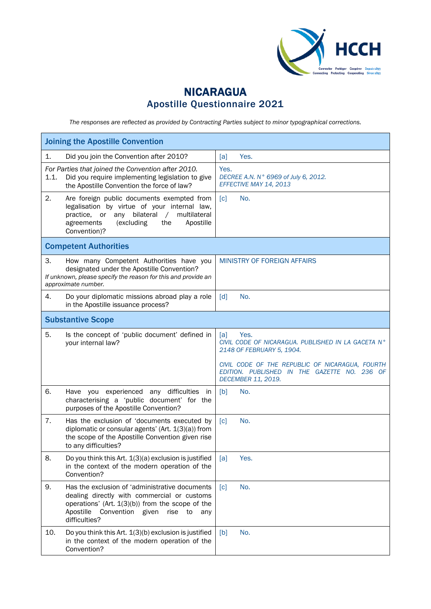

## NICARAGUA Apostille Questionnaire 2021

*The responses are reflected as provided by Contracting Parties subject to minor typographical corrections.*

| <b>Joining the Apostille Convention</b>                                                                                                                                                                                            |                                                                                                                       |  |  |  |
|------------------------------------------------------------------------------------------------------------------------------------------------------------------------------------------------------------------------------------|-----------------------------------------------------------------------------------------------------------------------|--|--|--|
| 1.<br>Did you join the Convention after 2010?                                                                                                                                                                                      | [a]<br>Yes.                                                                                                           |  |  |  |
| For Parties that joined the Convention after 2010.<br>Did you require implementing legislation to give<br>1.1.<br>the Apostille Convention the force of law?                                                                       | Yes.<br>DECREE A.N. N° 6969 of July 6, 2012.<br>EFFECTIVE MAY 14, 2013                                                |  |  |  |
| 2.<br>Are foreign public documents exempted from<br>legalisation by virtue of your internal law,<br>practice, or<br>any<br>bilateral<br>multilateral<br>$\sqrt{2}$<br>agreements<br>(excluding<br>the<br>Apostille<br>Convention)? | $\lceil c \rceil$<br>No.                                                                                              |  |  |  |
| <b>Competent Authorities</b>                                                                                                                                                                                                       |                                                                                                                       |  |  |  |
| 3.<br>How many Competent Authorities have you<br>designated under the Apostille Convention?<br>If unknown, please specify the reason for this and provide an<br>approximate number.                                                | MINISTRY OF FOREIGN AFFAIRS                                                                                           |  |  |  |
| Do your diplomatic missions abroad play a role<br>4.<br>in the Apostille issuance process?                                                                                                                                         | $\lceil d \rceil$<br>No.                                                                                              |  |  |  |
| <b>Substantive Scope</b>                                                                                                                                                                                                           |                                                                                                                       |  |  |  |
| 5.<br>Is the concept of 'public document' defined in<br>your internal law?                                                                                                                                                         | Yes.<br>[a]<br>CIVIL CODE OF NICARAGUA. PUBLISHED IN LA GACETA N°<br>2148 OF FEBRUARY 5, 1904.                        |  |  |  |
|                                                                                                                                                                                                                                    | CIVIL CODE OF THE REPUBLIC OF NICARAGUA, FOURTH<br>EDITION. PUBLISHED IN THE GAZETTE NO. 236 OF<br>DECEMBER 11, 2019. |  |  |  |
| 6.<br>Have you experienced any difficulties<br>in<br>characterising a 'public document' for the<br>purposes of the Apostille Convention?                                                                                           | [b]<br>No.                                                                                                            |  |  |  |
| Has the exclusion of 'documents executed by<br>7.<br>diplomatic or consular agents' (Art. 1(3)(a)) from<br>the scope of the Apostille Convention given rise<br>to any difficulties?                                                | No.<br>$\lceil c \rceil$                                                                                              |  |  |  |
| 8.<br>Do you think this Art. 1(3)(a) exclusion is justified<br>in the context of the modern operation of the<br>Convention?                                                                                                        | [a]<br>Yes.                                                                                                           |  |  |  |
| 9.<br>Has the exclusion of 'administrative documents<br>dealing directly with commercial or customs<br>operations' (Art. $1(3)(b)$ ) from the scope of the<br>Apostille<br>Convention given<br>rise<br>to<br>any<br>difficulties?  | No.<br>$\lceil c \rceil$                                                                                              |  |  |  |
| 10.<br>Do you think this Art. 1(3)(b) exclusion is justified<br>in the context of the modern operation of the<br>Convention?                                                                                                       | No.<br>[b]                                                                                                            |  |  |  |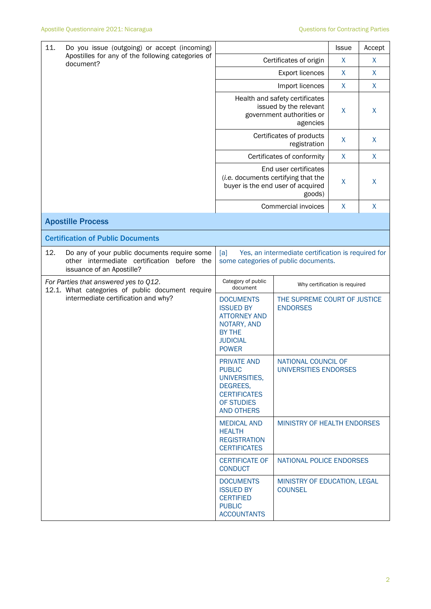| 11.<br>Do you issue (outgoing) or accept (incoming)                                                                                |                                                                                                                                | <b>Issue</b>                                    | Accept       |  |  |
|------------------------------------------------------------------------------------------------------------------------------------|--------------------------------------------------------------------------------------------------------------------------------|-------------------------------------------------|--------------|--|--|
| Apostilles for any of the following categories of<br>document?                                                                     | Certificates of origin                                                                                                         | X                                               | X            |  |  |
|                                                                                                                                    |                                                                                                                                | X                                               | X            |  |  |
|                                                                                                                                    |                                                                                                                                | Import licences                                 |              |  |  |
|                                                                                                                                    | Health and safety certificates<br>issued by the relevant<br>government authorities or                                          | X                                               | X            |  |  |
|                                                                                                                                    | Certificates of products                                                                                                       | X                                               | $\sf X$      |  |  |
|                                                                                                                                    | Certificates of conformity                                                                                                     | $\mathsf{X}$                                    | $\mathsf{X}$ |  |  |
|                                                                                                                                    | End user certificates<br>(i.e. documents certifying that the<br>buyer is the end user of acquired                              | X                                               | $\sf X$      |  |  |
|                                                                                                                                    | Commercial invoices                                                                                                            | X                                               | X            |  |  |
| <b>Apostille Process</b>                                                                                                           |                                                                                                                                |                                                 |              |  |  |
| <b>Certification of Public Documents</b>                                                                                           |                                                                                                                                |                                                 |              |  |  |
| 12.<br>Do any of your public documents require some<br>other intermediate certification<br>before the<br>issuance of an Apostille? | [a]<br>Yes, an intermediate certification is required for<br>some categories of public documents.                              |                                                 |              |  |  |
| For Parties that answered yes to Q12.                                                                                              | Category of public<br>document                                                                                                 | Why certification is required                   |              |  |  |
| 12.1. What categories of public document require<br>intermediate certification and why?                                            | <b>DOCUMENTS</b><br><b>ISSUED BY</b><br><b>ATTORNEY AND</b><br>NOTARY, AND<br><b>BY THE</b><br><b>JUDICIAL</b><br><b>POWER</b> | THE SUPREME COURT OF JUSTICE<br><b>ENDORSES</b> |              |  |  |
|                                                                                                                                    | <b>PRIVATE AND</b><br><b>PUBLIC</b><br>UNIVERSITIES,<br>DEGREES,<br><b>CERTIFICATES</b><br>OF STUDIES<br><b>AND OTHERS</b>     | NATIONAL COUNCIL OF<br>UNIVERSITIES ENDORSES    |              |  |  |
|                                                                                                                                    | <b>MEDICAL AND</b><br><b>HEALTH</b><br><b>REGISTRATION</b><br><b>CERTIFICATES</b>                                              | MINISTRY OF HEALTH ENDORSES                     |              |  |  |
|                                                                                                                                    | <b>CERTIFICATE OF</b><br><b>CONDUCT</b>                                                                                        | NATIONAL POLICE ENDORSES                        |              |  |  |
|                                                                                                                                    | <b>DOCUMENTS</b><br><b>ISSUED BY</b><br><b>CERTIFIED</b><br><b>PUBLIC</b><br><b>ACCOUNTANTS</b>                                | MINISTRY OF EDUCATION, LEGAL<br><b>COUNSEL</b>  |              |  |  |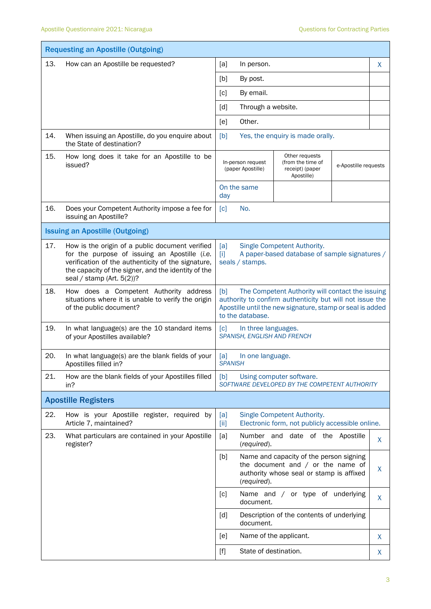|     | <b>Requesting an Apostille (Outgoing)</b>                                                                                                                                                                                                     |                                                                                                                                                                                                                                                                                |    |  |  |
|-----|-----------------------------------------------------------------------------------------------------------------------------------------------------------------------------------------------------------------------------------------------|--------------------------------------------------------------------------------------------------------------------------------------------------------------------------------------------------------------------------------------------------------------------------------|----|--|--|
| 13. | How can an Apostille be requested?                                                                                                                                                                                                            | [a]<br>In person.                                                                                                                                                                                                                                                              |    |  |  |
|     |                                                                                                                                                                                                                                               | [b]<br>By post.                                                                                                                                                                                                                                                                |    |  |  |
|     |                                                                                                                                                                                                                                               | By email.<br>[c]                                                                                                                                                                                                                                                               |    |  |  |
|     |                                                                                                                                                                                                                                               | [d]<br>Through a website.                                                                                                                                                                                                                                                      |    |  |  |
|     |                                                                                                                                                                                                                                               | Other.<br>[e]                                                                                                                                                                                                                                                                  |    |  |  |
| 14. | When issuing an Apostille, do you enquire about<br>the State of destination?                                                                                                                                                                  | Yes, the enquiry is made orally.<br>[b]                                                                                                                                                                                                                                        |    |  |  |
| 15. | How long does it take for an Apostille to be<br>issued?                                                                                                                                                                                       | Other requests<br>In-person request<br>(from the time of<br>e-Apostille requests<br>receipt) (paper<br>(paper Apostille)<br>Apostille)                                                                                                                                         |    |  |  |
|     |                                                                                                                                                                                                                                               | On the same<br>day                                                                                                                                                                                                                                                             |    |  |  |
| 16. | Does your Competent Authority impose a fee for<br>issuing an Apostille?                                                                                                                                                                       | No.<br>[c]                                                                                                                                                                                                                                                                     |    |  |  |
|     | <b>Issuing an Apostille (Outgoing)</b>                                                                                                                                                                                                        |                                                                                                                                                                                                                                                                                |    |  |  |
| 17. | How is the origin of a public document verified<br>for the purpose of issuing an Apostille (i.e.<br>verification of the authenticity of the signature,<br>the capacity of the signer, and the identity of the<br>seal / stamp (Art. $5(2)$ )? | Single Competent Authority.<br>[a]<br>A paper-based database of sample signatures /<br>$[1]$<br>seals / stamps.                                                                                                                                                                |    |  |  |
| 18. | How does a Competent Authority address<br>situations where it is unable to verify the origin<br>of the public document?                                                                                                                       | The Competent Authority will contact the issuing<br>[b]<br>authority to confirm authenticity but will not issue the<br>Apostille until the new signature, stamp or seal is added<br>to the database.                                                                           |    |  |  |
| 19. | In what language(s) are the 10 standard items<br>of your Apostilles available?                                                                                                                                                                | $\lceil c \rceil$<br>In three languages.<br>SPANISH, ENGLISH AND FRENCH                                                                                                                                                                                                        |    |  |  |
| 20. | In what language(s) are the blank fields of your<br>Apostilles filled in?                                                                                                                                                                     | [a]<br>In one language.<br><b>SPANISH</b>                                                                                                                                                                                                                                      |    |  |  |
| 21. | How are the blank fields of your Apostilles filled<br>in?                                                                                                                                                                                     | [b]<br>Using computer software.<br>SOFTWARE DEVELOPED BY THE COMPETENT AUTHORITY                                                                                                                                                                                               |    |  |  |
|     | <b>Apostille Registers</b>                                                                                                                                                                                                                    |                                                                                                                                                                                                                                                                                |    |  |  |
| 22. | How is your Apostille register, required by<br>Article 7, maintained?                                                                                                                                                                         | Single Competent Authority.<br>[a]<br>Electronic form, not publicly accessible online.<br>[iii]                                                                                                                                                                                |    |  |  |
| 23. | What particulars are contained in your Apostille<br>register?                                                                                                                                                                                 | Number and date of the Apostille<br>[a]<br>(required).                                                                                                                                                                                                                         | X  |  |  |
|     |                                                                                                                                                                                                                                               | [b]<br>Name and capacity of the person signing<br>the document and $/$ or the name of<br>authority whose seal or stamp is affixed<br>(required).                                                                                                                               | X  |  |  |
|     |                                                                                                                                                                                                                                               | Name and / or type of underlying<br>[c]<br>document.                                                                                                                                                                                                                           | X. |  |  |
|     |                                                                                                                                                                                                                                               | Description of the contents of underlying<br>[d]<br>document.                                                                                                                                                                                                                  |    |  |  |
|     |                                                                                                                                                                                                                                               | [e]<br>Name of the applicant.                                                                                                                                                                                                                                                  | X  |  |  |
|     |                                                                                                                                                                                                                                               | State of destination.<br>$[f] % \begin{center} % \includegraphics[width=\linewidth]{imagesSupplemental_3.png} % \end{center} % \caption { % Our method can be used for the use of the image. % Note that the \emph{Left:} \label{fig:case} \vspace{-1em} % \label{fig:case} %$ | X  |  |  |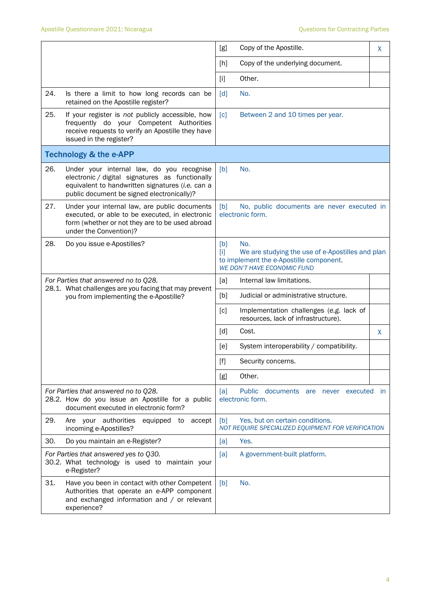|     |                                                                                                                                                                                                | [g]                                                                                                                                                                                                                                                   | Copy of the Apostille.                                                                                                                   | X  |
|-----|------------------------------------------------------------------------------------------------------------------------------------------------------------------------------------------------|-------------------------------------------------------------------------------------------------------------------------------------------------------------------------------------------------------------------------------------------------------|------------------------------------------------------------------------------------------------------------------------------------------|----|
|     |                                                                                                                                                                                                | [h]                                                                                                                                                                                                                                                   | Copy of the underlying document.                                                                                                         |    |
|     |                                                                                                                                                                                                | $[1]$                                                                                                                                                                                                                                                 | Other.                                                                                                                                   |    |
| 24. | Is there a limit to how long records can be<br>retained on the Apostille register?                                                                                                             | [d]                                                                                                                                                                                                                                                   | No.                                                                                                                                      |    |
| 25. | If your register is not publicly accessible, how<br>frequently do your Competent Authorities<br>receive requests to verify an Apostille they have<br>issued in the register?                   | $\lceil c \rceil$                                                                                                                                                                                                                                     | Between 2 and 10 times per year.                                                                                                         |    |
|     | <b>Technology &amp; the e-APP</b>                                                                                                                                                              |                                                                                                                                                                                                                                                       |                                                                                                                                          |    |
| 26. | Under your internal law, do you recognise<br>electronic / digital signatures as functionally<br>equivalent to handwritten signatures (i.e. can a<br>public document be signed electronically)? | [b]                                                                                                                                                                                                                                                   | No.                                                                                                                                      |    |
| 27. | Under your internal law, are public documents<br>executed, or able to be executed, in electronic<br>form (whether or not they are to be used abroad<br>under the Convention)?                  | [b]                                                                                                                                                                                                                                                   | No, public documents are never executed in<br>electronic form.                                                                           |    |
| 28. | Do you issue e-Apostilles?                                                                                                                                                                     | [b]<br>ΠI                                                                                                                                                                                                                                             | No.<br>We are studying the use of e-Apostilles and plan<br>to implement the e-Apostille component.<br><b>WE DON'T HAVE ECONOMIC FUND</b> |    |
|     | For Parties that answered no to Q28.<br>28.1. What challenges are you facing that may prevent                                                                                                  | [a]                                                                                                                                                                                                                                                   | Internal law limitations.                                                                                                                |    |
|     | you from implementing the e-Apostille?                                                                                                                                                         | [b]                                                                                                                                                                                                                                                   | Judicial or administrative structure.                                                                                                    |    |
|     |                                                                                                                                                                                                | $\lceil c \rceil$                                                                                                                                                                                                                                     | Implementation challenges (e.g. lack of<br>resources, lack of infrastructure).                                                           |    |
|     |                                                                                                                                                                                                | [d]                                                                                                                                                                                                                                                   | Cost.                                                                                                                                    | X. |
|     |                                                                                                                                                                                                | [e]                                                                                                                                                                                                                                                   | System interoperability / compatibility.                                                                                                 |    |
|     |                                                                                                                                                                                                | $[f] % \begin{center} % \includegraphics[width=\linewidth]{imagesSupplemental_3.png} % \end{center} % \caption { % Our method can be used for the use of the image. % Note that the \emph{Left:} \label{fig:case} \vspace{-1em} % \label{fig:case} %$ | Security concerns.                                                                                                                       |    |
|     |                                                                                                                                                                                                | [g]                                                                                                                                                                                                                                                   | Other.                                                                                                                                   |    |
|     | For Parties that answered no to Q28.<br>28.2. How do you issue an Apostille for a public<br>document executed in electronic form?                                                              | [a]                                                                                                                                                                                                                                                   | Public documents are never executed in<br>electronic form.                                                                               |    |
| 29. | Are your authorities<br>equipped to accept<br>incoming e-Apostilles?                                                                                                                           | [b]                                                                                                                                                                                                                                                   | Yes, but on certain conditions.<br>NOT REQUIRE SPECIALIZED EQUIPMENT FOR VERIFICATION                                                    |    |
| 30. | Do you maintain an e-Register?                                                                                                                                                                 |                                                                                                                                                                                                                                                       | Yes.                                                                                                                                     |    |
|     | For Parties that answered yes to Q30.<br>30.2. What technology is used to maintain your<br>e-Register?                                                                                         | [a]                                                                                                                                                                                                                                                   | A government-built platform.                                                                                                             |    |
| 31. | Have you been in contact with other Competent<br>Authorities that operate an e-APP component<br>and exchanged information and / or relevant<br>experience?                                     | [b]                                                                                                                                                                                                                                                   | No.                                                                                                                                      |    |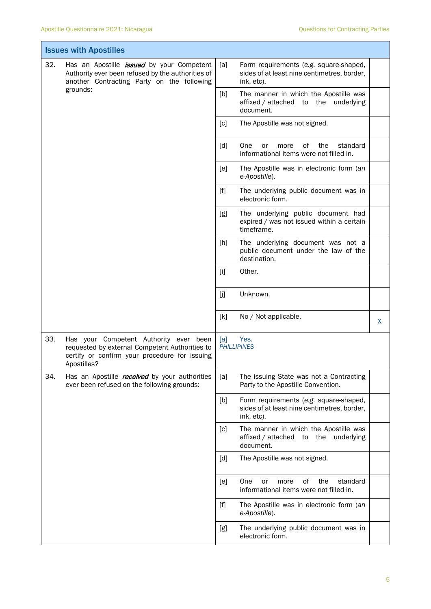|     | <b>Issues with Apostilles</b>                                                                                                                                   |       |                                                                                                     |   |
|-----|-----------------------------------------------------------------------------------------------------------------------------------------------------------------|-------|-----------------------------------------------------------------------------------------------------|---|
| 32. | Has an Apostille <i>issued</i> by your Competent<br>Authority ever been refused by the authorities of<br>another Contracting Party on the following<br>grounds: | [a]   | Form requirements (e.g. square-shaped,<br>sides of at least nine centimetres, border,<br>ink, etc). |   |
|     |                                                                                                                                                                 | [b]   | The manner in which the Apostille was<br>affixed / attached to the underlying<br>document.          |   |
|     |                                                                                                                                                                 | [c]   | The Apostille was not signed.                                                                       |   |
|     |                                                                                                                                                                 | [d]   | One<br>0f<br>the<br>standard<br>or<br>more<br>informational items were not filled in.               |   |
|     |                                                                                                                                                                 | [e]   | The Apostille was in electronic form (an<br>e-Apostille).                                           |   |
|     |                                                                                                                                                                 | $[f]$ | The underlying public document was in<br>electronic form.                                           |   |
|     |                                                                                                                                                                 | [g]   | The underlying public document had<br>expired / was not issued within a certain<br>timeframe.       |   |
|     |                                                                                                                                                                 | [h]   | The underlying document was not a<br>public document under the law of the<br>destination.           |   |
|     |                                                                                                                                                                 | $[1]$ | Other.                                                                                              |   |
|     |                                                                                                                                                                 | [j]   | Unknown.                                                                                            |   |
|     |                                                                                                                                                                 | [k]   | No / Not applicable.                                                                                | X |
| 33. | Has your Competent Authority ever been<br>requested by external Competent Authorities to<br>certify or confirm your procedure for issuing<br>Apostilles?        | [a]   | Yes.<br><b>PHILLIPINES</b>                                                                          |   |
| 34. | Has an Apostille <i>received</i> by your authorities<br>ever been refused on the following grounds:                                                             | [a]   | The issuing State was not a Contracting<br>Party to the Apostille Convention.                       |   |
|     |                                                                                                                                                                 | [b]   | Form requirements (e.g. square-shaped,<br>sides of at least nine centimetres, border,<br>ink, etc). |   |
|     |                                                                                                                                                                 | [c]   | The manner in which the Apostille was<br>affixed / attached to the underlying<br>document.          |   |
|     |                                                                                                                                                                 | [d]   | The Apostille was not signed.                                                                       |   |
|     |                                                                                                                                                                 | [e]   | One<br>of<br>the<br>or<br>more<br>standard<br>informational items were not filled in.               |   |
|     |                                                                                                                                                                 | $[f]$ | The Apostille was in electronic form (an<br>e-Apostille).                                           |   |
|     |                                                                                                                                                                 | [g]   | The underlying public document was in<br>electronic form.                                           |   |